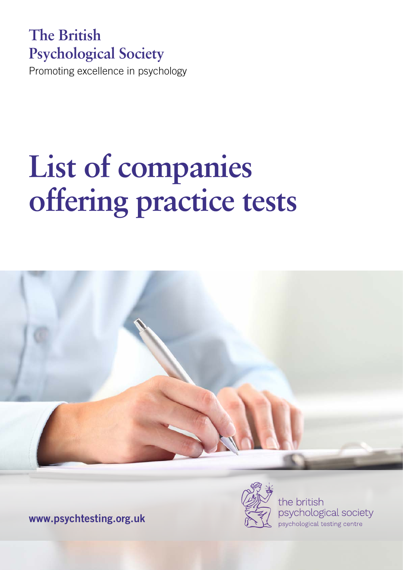## **The British Psychological Society**

Promoting excellence in psychology

# **List of companies offering practice tests**



www.psychtesting.org.uk



the british psychological society psychological testing centre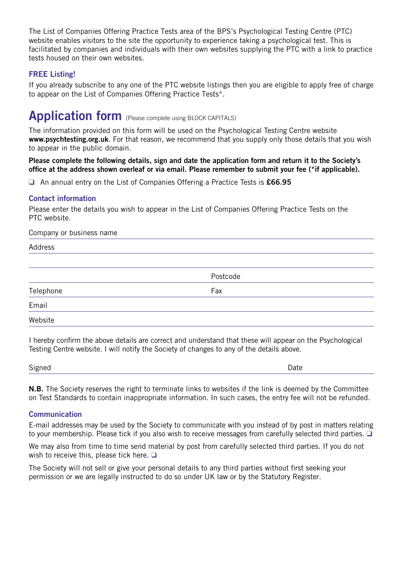The List of Companies Offering Practice Tests area of the BPS's Psychological Testing Centre (PTC) website enables visitors to the site the opportunity to experience taking a psychological test. This is facilitated by companies and individuals with their own websites supplying the PTC with a link to practice tests housed on their own websites.

#### FREE Listing!

If you already subscribe to any one of the PTC website listings then you are eligible to apply free of charge to appear on the List of Companies Offering Practice Tests\*.

### Application form (Please complete using BLOCK CAPITALS)

The information provided on this form will be used on the Psychological Testing Centre website www.psychtesting.org.uk. For that reason, we recommend that you supply only those details that you wish to appear in the public domain.

Please complete the following details, sign and date the application form and return it to the Society's office at the address shown overleaf or via email. Please remember to submit your fee (\*if applicable).

□ An annual entry on the List of Companies Offering a Practice Tests is £66.95

#### Contact information

Please enter the details you wish to appear in the List of Companies Offering Practice Tests on the PTC website.

#### Company or business name

| Address   |          |
|-----------|----------|
|           |          |
|           | Postcode |
| Telephone | Fax      |
| Email     |          |
| Website   |          |

I hereby confirm the above details are correct and understand that these will appear on the Psychological Testing Centre website. I will notify the Society of changes to any of the details above.

| $\sim$<br>Signed<br>- ت<br>$ -$ | Date |
|---------------------------------|------|
|                                 |      |

N.B. The Society reserves the right to terminate links to websites if the link is deemed by the Committee on Test Standards to contain inappropriate information. In such cases, the entry fee will not be refunded.

#### **Communication**

E-mail addresses may be used by the Society to communicate with you instead of by post in matters relating to your membership. Please tick if you also wish to receive messages from carefully selected third parties.  $\Box$ 

We may also from time to time send material by post from carefully selected third parties. If you do not wish to receive this, please tick here.  $\square$ 

The Society will not sell or give your personal details to any third parties without first seeking your permission or we are legally instructed to do so under UK law or by the Statutory Register.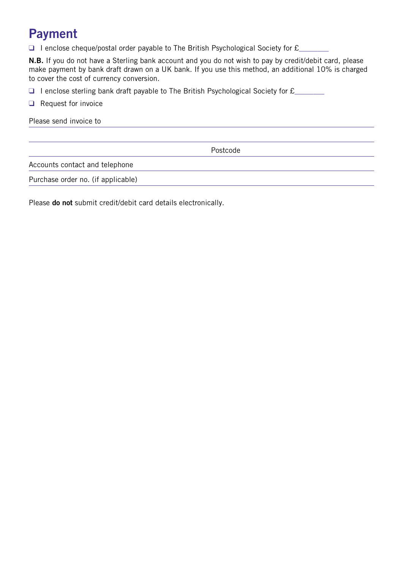## Payment

 $\Box$  I enclose cheque/postal order payable to The British Psychological Society for  $\mathcal{E}_\Box$ 

N.B. If you do not have a Sterling bank account and you do not wish to pay by credit/debit card, please make payment by bank draft drawn on a UK bank. If you use this method, an additional 10% is charged to cover the cost of currency conversion.

q I enclose sterling bank draft payable to The British Psychological Society for  $E$ 

 $\Box$  Request for invoice

Please send invoice to

Postcode

Accounts contact and telephone

Purchase order no. (if applicable)

Please do not submit credit/debit card details electronically.